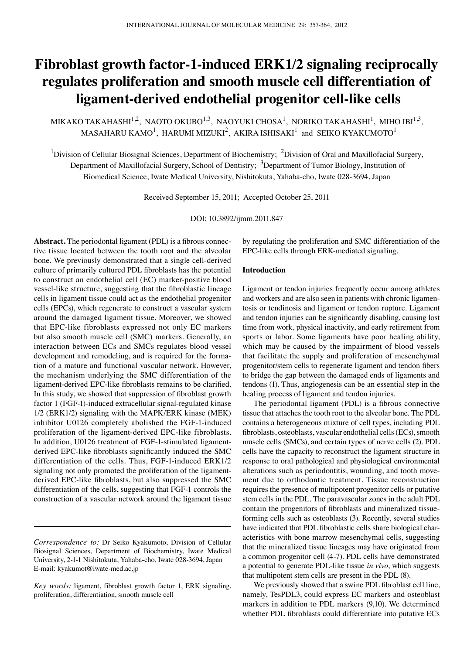# **Fibroblast growth factor-1-induced ERK1/2 signaling reciprocally regulates proliferation and smooth muscle cell differentiation of ligament-derived endothelial progenitor cell-like cells**

MIKAKO TAKAHASHI $^{1,2}$ , NAOTO OKUBO $^{1,3}$ , NAOYUKI CHOSA $^{1}$ , NORIKO TAKAHASHI $^{1}$ , MIHO IBI $^{1,3}$ , MASAHARU KAMO<sup>1</sup>, HARUMI MIZUKI<sup>2</sup>, AKIRA ISHISAKI<sup>1</sup> and SEIKO KYAKUMOTO<sup>1</sup>

<sup>1</sup>Division of Cellular Biosignal Sciences, Department of Biochemistry; <sup>2</sup>Division of Oral and Maxillofacial Surgery, Department of Maxillofacial Surgery, School of Dentistry; <sup>3</sup>Department of Tumor Biology, Institution of Biomedical Science, Iwate Medical University, Nishitokuta, Yahaba-cho, Iwate 028-3694, Japan

Received September 15, 2011; Accepted October 25, 2011

DOI: 10.3892/ijmm.2011.847

**Abstract.** The periodontal ligament (PDL) is a fibrous connective tissue located between the tooth root and the alveolar bone. We previously demonstrated that a single cell-derived culture of primarily cultured PDL fibroblasts has the potential to construct an endothelial cell (EC) marker-positive blood vessel-like structure, suggesting that the fibroblastic lineage cells in ligament tissue could act as the endothelial progenitor cells (EPCs), which regenerate to construct a vascular system around the damaged ligament tissue. Moreover, we showed that EPC-like fibroblasts expressed not only EC markers but also smooth muscle cell (SMC) markers. Generally, an interaction between ECs and SMCs regulates blood vessel development and remodeling, and is required for the formation of a mature and functional vascular network. However, the mechanism underlying the SMC differentiation of the ligament-derived EPC-like fibroblasts remains to be clarified. In this study, we showed that suppression of fibroblast growth factor 1 (FGF-1)-induced extracellular signal-regulated kinase 1/2 (ERK1/2) signaling with the MAPK/ERK kinase (MEK) inhibitor U0126 completely abolished the FGF-1-induced proliferation of the ligament-derived EPC-like fibroblasts. In addition, U0126 treatment of FGF-1-stimulated ligamentderived EPC-like fibroblasts significantly induced the SMC differentiation of the cells. Thus, FGF-1-induced ERK1/2 signaling not only promoted the proliferation of the ligamentderived EPC-like fibroblasts, but also suppressed the SMC differentiation of the cells, suggesting that FGF-1 controls the construction of a vascular network around the ligament tissue by regulating the proliferation and SMC differentiation of the EPC-like cells through ERK-mediated signaling.

## **Introduction**

Ligament or tendon injuries frequently occur among athletes and workers and are also seen in patients with chronic ligamentosis or tendinosis and ligament or tendon rupture. Ligament and tendon injuries can be significantly disabling, causing lost time from work, physical inactivity, and early retirement from sports or labor. Some ligaments have poor healing ability, which may be caused by the impairment of blood vessels that facilitate the supply and proliferation of mesenchymal progenitor/stem cells to regenerate ligament and tendon fibers to bridge the gap between the damaged ends of ligaments and tendons (1). Thus, angiogenesis can be an essential step in the healing process of ligament and tendon injuries.

The periodontal ligament (PDL) is a fibrous connective tissue that attaches the tooth root to the alveolar bone. The PDL contains a heterogeneous mixture of cell types, including PDL fibroblasts, osteoblasts, vascular endothelial cells (ECs), smooth muscle cells (SMCs), and certain types of nerve cells (2). PDL cells have the capacity to reconstruct the ligament structure in response to oral pathological and physiological environmental alterations such as periodontitis, wounding, and tooth movement due to orthodontic treatment. Tissue reconstruction requires the presence of multipotent progenitor cells or putative stem cells in the PDL. The paravascular zones in the adult PDL contain the progenitors of fibroblasts and mineralized tissueforming cells such as osteoblasts (3). Recently, several studies have indicated that PDL fibroblastic cells share biological characteristics with bone marrow mesenchymal cells, suggesting that the mineralized tissue lineages may have originated from a common progenitor cell (4-7). PDL cells have demonstrated a potential to generate PDL-like tissue *in vivo*, which suggests that multipotent stem cells are present in the PDL (8).

We previously showed that a swine PDL fibroblast cell line, namely, TesPDL3, could express EC markers and osteoblast markers in addition to PDL markers (9,10). We determined whether PDL fibroblasts could differentiate into putative ECs

*Correspondence to:* Dr Seiko Kyakumoto, Division of Cellular Biosignal Sciences, Department of Biochemistry, Iwate Medical University, 2-1-1 Nishitokuta, Yahaba-cho, Iwate 028-3694, Japan E-mail: kyakumot@iwate-med.ac.jp

*Key words:* ligament, fibroblast growth factor 1, ERK signaling, proliferation, differentiation, smooth muscle cell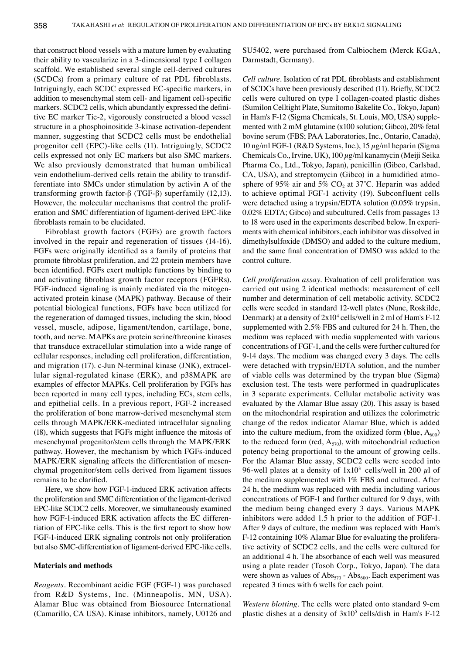that construct blood vessels with a mature lumen by evaluating their ability to vascularize in a 3-dimensional type I collagen scaffold. We established several single cell-derived cultures (SCDCs) from a primary culture of rat PDL fibroblasts. Intriguingly, each SCDC expressed EC-specific markers, in addition to mesenchymal stem cell- and ligament cell-specific markers. SCDC2 cells, which abundantly expressed the definitive EC marker Tie-2, vigorously constructed a blood vessel structure in a phosphoinositide 3-kinase activation-dependent manner, suggesting that SCDC2 cells must be endothelial progenitor cell (EPC)-like cells (11). Intriguingly, SCDC2 cells expressed not only EC markers but also SMC markers. We also previously demonstrated that human umbilical vein endothelium-derived cells retain the ability to transdifferentiate into SMCs under stimulation by activin A of the transforming growth factor-β (TGF-β) superfamily (12,13). However, the molecular mechanisms that control the proliferation and SMC differentiation of ligament-derived EPC-like fibroblasts remain to be elucidated.

Fibroblast growth factors (FGFs) are growth factors involved in the repair and regeneration of tissues (14-16). FGFs were originally identified as a family of proteins that promote fibroblast proliferation, and 22 protein members have been identified. FGFs exert multiple functions by binding to and activating fibroblast growth factor receptors (FGFRs). FGF-induced signaling is mainly mediated via the mitogenactivated protein kinase (MAPK) pathway. Because of their potential biological functions, FGFs have been utilized for the regeneration of damaged tissues, including the skin, blood vessel, muscle, adipose, ligament/tendon, cartilage, bone, tooth, and nerve. MAPKs are protein serine/threonine kinases that transduce extracellular stimulation into a wide range of cellular responses, including cell proliferation, differentiation, and migration (17). c-Jun N-terminal kinase (JNK), extracellular signal-regulated kinase (ERK), and p38MAPK are examples of effector MAPKs. Cell proliferation by FGFs has been reported in many cell types, including ECs, stem cells, and epithelial cells. In a previous report, FGF-2 increased the proliferation of bone marrow-derived mesenchymal stem cells through MAPK/ERK-mediated intracellular signaling (18), which suggests that FGFs might influence the mitosis of mesenchymal progenitor/stem cells through the MAPK/ERK pathway. However, the mechanism by which FGFs-induced MAPK/ERK signaling affects the differentiation of mesenchymal progenitor/stem cells derived from ligament tissues remains to be clarified.

Here, we show how FGF-1-induced ERK activation affects the proliferation and SMC differentiation of the ligament-derived EPC-like SCDC2 cells. Moreover, we simultaneously examined how FGF-1-induced ERK activation affects the EC differentiation of EPC-like cells. This is the first report to show how FGF-1-induced ERK signaling controls not only proliferation but also SMC-differentiation of ligament-derived EPC-like cells.

## **Materials and methods**

*Reagents.* Recombinant acidic FGF (FGF-1) was purchased from R&D Systems, Inc. (Minneapolis, MN, USA). Alamar Blue was obtained from Biosource International (Camarillo, CA USA). Kinase inhibitors, namely, U0126 and SU5402, were purchased from Calbiochem (Merck KGaA, Darmstadt, Germany).

*Cell culture.* Isolation of rat PDL fibroblasts and establishment of SCDCs have been previously described (11). Briefly, SCDC2 cells were cultured on type I collagen-coated plastic dishes (Sumilon Celltight Plate, Sumitomo Bakelite Co., Tokyo, Japan) in Ham's F-12 (Sigma Chemicals, St. Louis, MO, USA) supplemented with 2 mM glutamine (x100 solution; Gibco), 20% fetal bovine serum (FBS; PAA Laboratories, Inc., Ontario, Canada), 10 ng/ml FGF-1 (R&D Systems, Inc.), 15  $\mu$ g/ml heparin (Sigma Chemicals Co., Irvine, UK),  $100 \mu g/ml$  kanamycin (Meiji Seika Pharma Co., Ltd., Tokyo, Japan), penicillin (Gibco, Carlsbad, CA, USA), and streptomycin (Gibco) in a humidified atmosphere of 95% air and 5% CO<sub>2</sub> at 37°C. Heparin was added to achieve optimal FGF-1 activity (19). Subconfluent cells were detached using a trypsin/EDTA solution (0.05% trypsin, 0.02% EDTA; Gibco) and subcultured. Cells from passages 13 to 18 were used in the experiments described below. In experiments with chemical inhibitors, each inhibitor was dissolved in dimethylsulfoxide (DMSO) and added to the culture medium, and the same final concentration of DMSO was added to the control culture.

*Cell proliferation assay.* Evaluation of cell proliferation was carried out using 2 identical methods: measurement of cell number and determination of cell metabolic activity. SCDC2 cells were seeded in standard 12-well plates (Nunc, Roskilde, Denmark) at a density of  $2x10^4$  cells/well in 2 ml of Ham's F-12 supplemented with 2.5% FBS and cultured for 24 h. Then, the medium was replaced with media supplemented with various concentrations of FGF-1, and the cells were further cultured for 9-14 days. The medium was changed every 3 days. The cells were detached with trypsin/EDTA solution, and the number of viable cells was determined by the trypan blue (Sigma) exclusion test. The tests were performed in quadruplicates in 3 separate experiments. Cellular metabolic activity was evaluated by the Alamar Blue assay (20). This assay is based on the mitochondrial respiration and utilizes the colorimetric change of the redox indicator Alamar Blue, which is added into the culture medium, from the oxidized form (blue,  $A_{600}$ ) to the reduced form (red,  $A_{570}$ ), with mitochondrial reduction potency being proportional to the amount of growing cells. For the Alamar Blue assay, SCDC2 cells were seeded into 96-well plates at a density of  $1x10^3$  cells/well in 200  $\mu$ l of the medium supplemented with 1% FBS and cultured. After 24 h, the medium was replaced with media including various concentrations of FGF-1 and further cultured for 9 days, with the medium being changed every 3 days. Various MAPK inhibitors were added 1.5 h prior to the addition of FGF-1. After 9 days of culture, the medium was replaced with Ham's F-12 containing 10% Alamar Blue for evaluating the proliferative activity of SCDC2 cells, and the cells were cultured for an additional 4 h. The absorbance of each well was measured using a plate reader (Tosoh Corp., Tokyo, Japan). The data were shown as values of  $\text{Abs}_{570}$  -  $\text{Abs}_{600}$ . Each experiment was repeated 3 times with 6 wells for each point.

*Western blotting.* The cells were plated onto standard 9-cm plastic dishes at a density of  $3x10^5$  cells/dish in Ham's F-12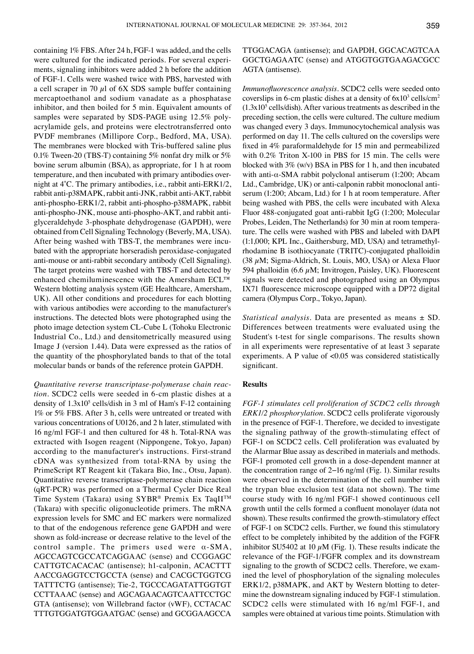containing 1% FBS. After 24 h, FGF-1 was added, and the cells were cultured for the indicated periods. For several experiments, signaling inhibitors were added 2 h before the addition of FGF-1. Cells were washed twice with PBS, harvested with a cell scraper in 70  $\mu$ l of 6X SDS sample buffer containing mercaptoethanol and sodium vanadate as a phosphatase inhibitor, and then boiled for 5 min. Equivalent amounts of samples were separated by SDS-PAGE using 12.5% polyacrylamide gels, and proteins were electrotransferred onto PVDF membranes (Millipore Corp., Bedford, MA, USA). The membranes were blocked with Tris-buffered saline plus 0.1% Tween-20 (TBS-T) containing 5% nonfat dry milk or 5% bovine serum albumin (BSA), as appropriate, for 1 h at room temperature, and then incubated with primary antibodies overnight at 4˚C. The primary antibodies, i.e., rabbit anti-ERK1/2, rabbit anti-p38MAPK, rabbit anti-JNK, rabbit anti-AKT, rabbit anti-phospho-ERK1/2, rabbit anti-phospho-p38MAPK, rabbit anti-phospho-JNK, mouse anti-phospho-AKT, and rabbit antiglyceraldehyde 3-phosphate dehydrogenase (GAPDH), were obtained from Cell Signaling Technology (Beverly, MA, USA). After being washed with TBS-T, the membranes were incubated with the appropriate horseradish peroxidase-conjugated anti-mouse or anti-rabbit secondary antibody (Cell Signaling). The target proteins were washed with TBS-T and detected by enhanced chemiluminescence with the Amersham ECL™ Western blotting analysis system (GE Healthcare, Amersham, UK). All other conditions and procedures for each blotting with various antibodies were according to the manufacturer's instructions. The detected blots were photographed using the photo image detection system CL-Cube L (Tohoku Electronic Industrial Co., Ltd.) and densitometrically measured using Image J (version 1.44). Data were expressed as the ratios of the quantity of the phosphorylated bands to that of the total molecular bands or bands of the reference protein GAPDH.

*Quantitative reverse transcriptase-polymerase chain reaction.* SCDC2 cells were seeded in 6-cm plastic dishes at a density of 1.3x10<sup>5</sup> cells/dish in 3 ml of Ham's F-12 containing 1% or 5% FBS. After 3 h, cells were untreated or treated with various concentrations of U0126, and 2 h later, stimulated with 16 ng/ml FGF-1 and then cultured for 48 h. Total-RNA was extracted with Isogen reagent (Nippongene, Tokyo, Japan) according to the manufacturer's instructions. First-strand cDNA was synthesized from total-RNA by using the PrimeScript RT Reagent kit (Takara Bio, Inc., Otsu, Japan). Quantitative reverse transcriptase-polymerase chain reaction (qRT-PCR) was performed on a Thermal Cycler Dice Real Time System (Takara) using SYBR® Premix Ex TaqIITM (Takara) with specific oligonucleotide primers. The mRNA expression levels for SMC and EC markers were normalized to that of the endogenous reference gene GAPDH and were shown as fold-increase or decrease relative to the level of the control sample. The primers used were α-SMA, AGCCAGTCGCCATCAGGAAC (sense) and CCGGAGC CATTGTCACACAC (antisense); h1-calponin, ACACTTT AACCGAGGTCCTGCCTA (sense) and CACGCTGGTCG TATTTCTG (antisense); Tie-2, TGCCCAGATATTGGTGT CCTTAAAC (sense) and AGCAGAACAGTCAATTCCTGC GTA (antisense); von Willebrand factor (vWF), CCTACAC TTTGTGGATGTGGAATGAC (sense) and GCGGAAGCCA

TTGGACAGA (antisense); and GAPDH, GGCACAGTCAA GGCTGAGAATC (sense) and ATGGTGGTGAAGACGCC AGTA (antisense).

*Immunofluorescence analysis.* SCDC2 cells were seeded onto coverslips in 6-cm plastic dishes at a density of  $6x10^3$  cells/cm<sup>2</sup>  $(1.3x10<sup>5</sup>$  cells/dish). After various treatments as described in the preceding section, the cells were cultured. The culture medium was changed every 3 days. Immunocytochemical analysis was performed on day 11. The cells cultured on the coverslips were fixed in 4% paraformaldehyde for 15 min and permeabilized with 0.2% Triton X-100 in PBS for 15 min. The cells were blocked with 3% (w/v) BSA in PBS for 1 h, and then incubated with anti-α-SMA rabbit polyclonal antiserum (1:200; Abcam Ltd., Cambridge, UK) or anti-calponin rabbit monoclonal antiserum (1:200; Abcam, Ltd.) for 1 h at room temperature. After being washed with PBS, the cells were incubated with Alexa Fluor 488-conjugated goat anti-rabbit IgG (1:200; Molecular Probes, Leiden, The Netherlands) for 30 min at room temperature. The cells were washed with PBS and labeled with DAPI (1:1,000; KPL Inc., Gaithersburg, MD, USA) and tetramethylrhodamine B isothiocyanate (TRITC)-conjugated phalloidin (38  $\mu$ M; Sigma-Aldrich, St. Louis, MO, USA) or Alexa Fluor 594 phalloidin (6.6  $\mu$ M; Invitrogen, Paisley, UK). Fluorescent signals were detected and photographed using an Olympus IX71 fluorescence microscope equipped with a DP72 digital camera (Olympus Corp., Tokyo, Japan).

*Statistical analysis.* Data are presented as means ± SD. Differences between treatments were evaluated using the Student's t-test for single comparisons. The results shown in all experiments were representative of at least 3 separate experiments. A P value of <0.05 was considered statistically significant.

# **Results**

*FGF-1 stimulates cell proliferation of SCDC2 cells through ERK1/2 phosphorylation.* SCDC2 cells proliferate vigorously in the presence of FGF-1. Therefore, we decided to investigate the signaling pathway of the growth-stimulating effect of FGF-1 on SCDC2 cells. Cell proliferation was evaluated by the Alarmar Blue assay as described in materials and methods. FGF-1 promoted cell growth in a dose-dependent manner at the concentration range of 2−16 ng/ml (Fig. 1). Similar results were observed in the determination of the cell number with the trypan blue exclusion test (data not shown). The time course study with 16 ng/ml FGF-1 showed continuous cell growth until the cells formed a confluent monolayer (data not shown). These results confirmed the growth-stimulatory effect of FGF-1 on SCDC2 cells. Further, we found this stimulatory effect to be completely inhibited by the addition of the FGFR inhibitor SU5402 at 10  $\mu$ M (Fig. 1). These results indicate the relevance of the FGF-1/FGFR complex and its downstream signaling to the growth of SCDC2 cells. Therefore, we examined the level of phosphorylation of the signaling molecules ERK1/2, p38MAPK, and AKT by Western blotting to determine the downstream signaling induced by FGF-1 stimulation. SCDC2 cells were stimulated with 16 ng/ml FGF-1, and samples were obtained at various time points. Stimulation with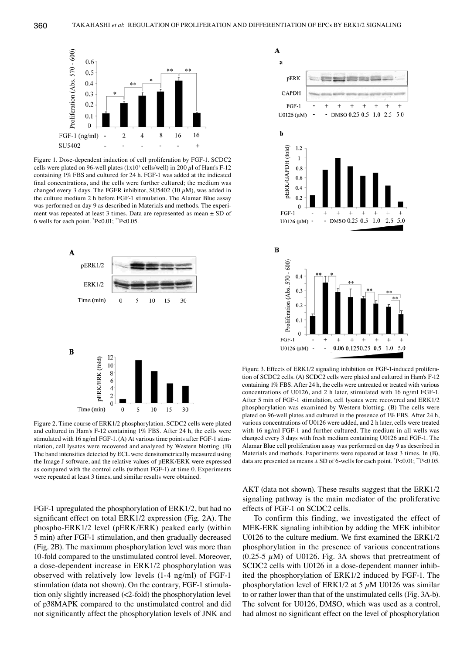

Figure 1. Dose-dependent induction of cell proliferation by FGF-1. SCDC2 cells were plated on 96-well plates (1x10<sup>3</sup> cells/well) in 200  $\mu$ l of Ham's F-12 containing 1% FBS and cultured for 24 h. FGF-1 was added at the indicated final concentrations, and the cells were further cultured; the medium was changed every 3 days. The FGFR inhibitor, SU5402 (10  $\mu$ M), was added in the culture medium 2 h before FGF-1 stimulation. The Alamar Blue assay was performed on day 9 as described in Materials and methods. The experiment was repeated at least 3 times. Data are represented as mean ± SD of 6 wells for each point. \* P<0.01; \*\*P<0.05.



Figure 2. Time course of ERK1/2 phosphorylation. SCDC2 cells were plated and cultured in Ham's F-12 containing 1% FBS. After 24 h, the cells were stimulated with 16 ng/ml FGF-1. (A) At various time points after FGF-1 stimulation, cell lysates were recovered and analyzed by Western blotting. (B) The band intensities detected by ECL were densitometrically measured using the Image J software, and the relative values of pERK/ERK were expressed as compared with the control cells (without FGF-1) at time 0. Experiments were repeated at least 3 times, and similar results were obtained.

FGF-1 upregulated the phosphorylation of ERK1/2, but had no significant effect on total ERK1/2 expression (Fig. 2A). The phospho-ERK1/2 level (pERK/ERK) peaked early (within 5 min) after FGF-1 stimulation, and then gradually decreased (Fig. 2B). The maximum phosphorylation level was more than 10-fold compared to the unstimulated control level. Moreover, a dose-dependent increase in ERK1/2 phosphorylation was observed with relatively low levels (1-4 ng/ml) of FGF-1 stimulation (data not shown). On the contrary, FGF-1 stimulation only slightly increased (<2-fold) the phosphorylation level of p38MAPK compared to the unstimulated control and did not significantly affect the phosphorylation levels of JNK and



Figure 3. Effects of ERK1/2 signaling inhibition on FGF-1-induced proliferation of SCDC2 cells. (A) SCDC2 cells were plated and cultured in Ham's F-12 containing 1% FBS. After 24 h, the cells were untreated or treated with various concentrations of U0126, and 2 h later, stimulated with 16 ng/ml FGF-1. After 5 min of FGF-1 stimulation, cell lysates were recovered and ERK1/2 phosphorylation was examined by Western blotting. (B) The cells were plated on 96-well plates and cultured in the presence of 1% FBS. After 24 h, various concentrations of U0126 were added, and 2 h later, cells were treated with 16 ng/ml FGF-1 and further cultured. The medium in all wells was changed every 3 days with fresh medium containing U0126 and FGF-1. The Alamar Blue cell proliferation assay was performed on day 9 as described in Materials and methods. Experiments were repeated at least 3 times. In (B), data are presented as means  $\pm$  SD of 6-wells for each point.  $P<0.01$ ;  $P<0.05$ .

AKT (data not shown). These results suggest that the ERK1/2 signaling pathway is the main mediator of the proliferative effects of FGF-1 on SCDC2 cells.

To confirm this finding, we investigated the effect of MEK-ERK signaling inhibition by adding the MEK inhibitor U0126 to the culture medium. We first examined the ERK1/2 phosphorylation in the presence of various concentrations (0.25-5  $\mu$ M) of U0126. Fig. 3A shows that pretreatment of SCDC2 cells with U0126 in a dose-dependent manner inhibited the phosphorylation of ERK1/2 induced by FGF-1. The phosphorylation level of ERK1/2 at 5  $\mu$ M U0126 was similar to or rather lower than that of the unstimulated cells (Fig. 3A-b). The solvent for U0126, DMSO, which was used as a control, had almost no significant effect on the level of phosphorylation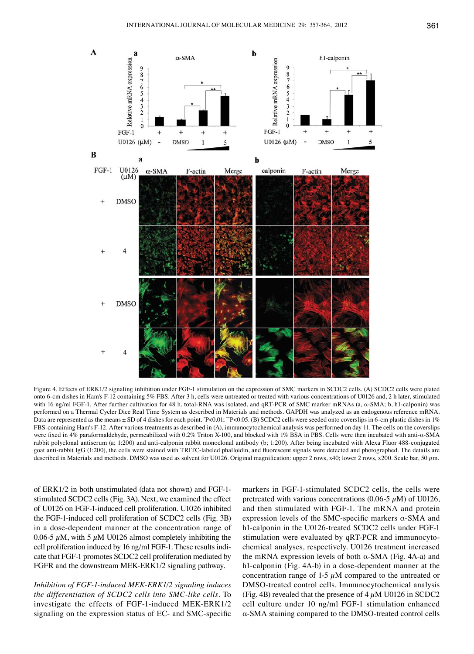

Figure 4. Effects of ERK1/2 signaling inhibition under FGF-1 stimulation on the expression of SMC markers in SCDC2 cells. (A) SCDC2 cells were plated onto 6-cm dishes in Ham's F-12 containing 5% FBS. After 3 h, cells were untreated or treated with various concentrations of U0126 and, 2 h later, stimulated with 16 ng/ml FGF-1. After further cultivation for 48 h, total-RNA was isolated, and qRT-PCR of SMC marker mRNAs (a, α-SMA; b, h1-calponin) was performed on a Thermal Cycler Dice Real Time System as described in Materials and methods. GAPDH was analyzed as an endogenous reference mRNA. Data are represented as the means ± SD of 4 dishes for each point. \*P<0.01; \*\*P<0.05. (B) SCDC2 cells were seeded onto coverslips in 6-cm plastic dishes in 1% FBS-containing Ham's F-12. After various treatments as described in (A), immunocytochemical analysis was performed on day 11. The cells on the coverslips were fixed in 4% paraformaldehyde, permeabilized with 0.2% Triton X-100, and blocked with 1% BSA in PBS. Cells were then incubated with anti-α-SMA rabbit polyclonal antiserum (a; 1:200) and anti-calponin rabbit monoclonal antibody (b; 1:200). After being incubated with Alexa Fluor 488-conjugated goat anti-rabbit IgG (1:200), the cells were stained with TRITC-labeled phalloidin, and fluorescent signals were detected and photographed. The details are described in Materials and methods. DMSO was used as solvent for U0126. Original magnification: upper 2 rows, x40; lower 2 rows, x200. Scale bar, 50  $\mu$ m.

of ERK1/2 in both unstimulated (data not shown) and FGF-1 stimulated SCDC2 cells (Fig. 3A). Next, we examined the effect of U0126 on FGF-1-induced cell proliferation. U1026 inhibited the FGF-1-induced cell proliferation of SCDC2 cells (Fig. 3B) in a dose-dependent manner at the concentration range of 0.06-5  $\mu$ M, with 5  $\mu$ M U0126 almost completely inhibiting the cell proliferation induced by 16 ng/ml FGF-1. These results indicate that FGF-1 promotes SCDC2 cell proliferation mediated by FGFR and the downstream MEK-ERK1/2 signaling pathway.

*Inhibition of FGF-1-induced MEK-ERK1/2 signaling induces the differentiation of SCDC2 cells into SMC-like cells.* To investigate the effects of FGF-1-induced MEK-ERK1/2 signaling on the expression status of EC- and SMC-specific markers in FGF-1-stimulated SCDC2 cells, the cells were pretreated with various concentrations (0.06-5  $\mu$ M) of U0126, and then stimulated with FGF-1. The mRNA and protein expression levels of the SMC-specific markers α-SMA and h1-calponin in the U0126-treated SCDC2 cells under FGF-1 stimulation were evaluated by qRT-PCR and immunocytochemical analyses, respectively. U0126 treatment increased the mRNA expression levels of both  $α$ -SMA (Fig. 4A-a) and h1-calponin (Fig. 4A-b) in a dose-dependent manner at the concentration range of 1-5  $\mu$ M compared to the untreated or DMSO-treated control cells. Immunocytochemical analysis (Fig. 4B) revealed that the presence of  $4 \mu$ M U0126 in SCDC2 cell culture under 10 ng/ml FGF-1 stimulation enhanced α-SMA staining compared to the DMSO-treated control cells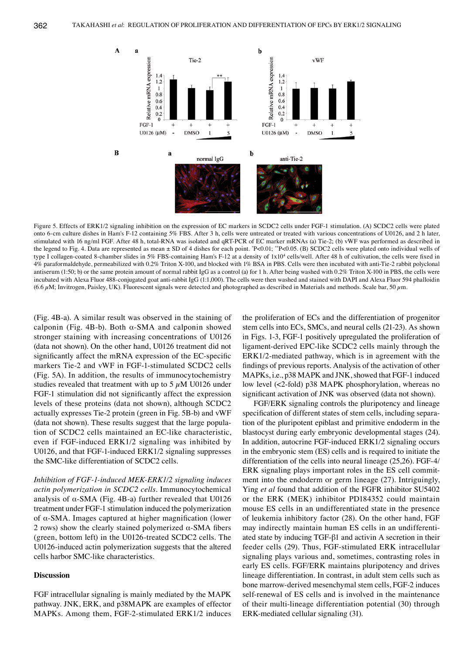

Figure 5. Effects of ERK1/2 signaling inhibition on the expression of EC markers in SCDC2 cells under FGF-1 stimulation. (A) SCDC2 cells were plated onto 6-cm culture dishes in Ham's F-12 containing 5% FBS. After 3 h, cells were untreated or treated with various concentrations of U0126, and 2 h later, stimulated with 16 ng/ml FGF. After 48 h, total-RNA was isolated and qRT-PCR of EC marker mRNAs (a) Tie-2; (b) vWF was performed as described in the legend to Fig. 4. Data are represented as mean ± SD of 4 dishes for each point. \*P<0.01; \*\*P<0.05. (B) SCDC2 cells were plated onto individual wells of type I collagen-coated 8-chamber slides in 5% FBS-containing Ham's F-12 at a density of 1x10<sup>4</sup> cells/well. After 48 h of cultivation, the cells were fixed in 4% paraformaldehyde, permeabilized with 0.2% Triton X-100, and blocked with 1% BSA in PBS. Cells were then incubated with anti-Tie-2 rabbit polyclonal antiserum (1:50; b) or the same protein amount of normal rabbit IgG as a control (a) for 1 h. After being washed with 0.2% Triton X-100 in PBS, the cells were incubated with Alexa Fluor 488-conjugated goat anti-rabbit IgG (1:1,000). The cells were then washed and stained with DAPI and Alexa Fluor 594 phalloidin (6.6  $\mu$ M; Invitrogen, Paisley, UK). Fluorescent signals were detected and photographed as described in Materials and methods. Scale bar, 50  $\mu$ m.

(Fig. 4B-a). A similar result was observed in the staining of calponin (Fig. 4B-b). Both α-SMA and calponin showed stronger staining with increasing concentrations of U0126 (data not shown). On the other hand, U0126 treatment did not significantly affect the mRNA expression of the EC-specific markers Tie-2 and vWF in FGF-1-stimulated SCDC2 cells (Fig. 5A). In addition, the results of immunocytochemistry studies revealed that treatment with up to 5  $\mu$ M U0126 under FGF-1 stimulation did not significantly affect the expression levels of these proteins (data not shown), although SCDC2 actually expresses Tie-2 protein (green in Fig. 5B-b) and vWF (data not shown). These results suggest that the large population of SCDC2 cells maintained an EC-like characteristic, even if FGF-induced ERK1/2 signaling was inhibited by U0126, and that FGF-1-induced ERK1/2 signaling suppresses the SMC-like differentiation of SCDC2 cells.

*Inhibition of FGF-1-induced MEK-ERK1/2 signaling induces actin polymerization in SCDC2 cells.* Immunocytochemical analysis of  $\alpha$ -SMA (Fig. 4B-a) further revealed that U0126 treatment under FGF-1 stimulation induced the polymerization of α-SMA. Images captured at higher magnification (lower 2 rows) show the clearly stained polymerized  $\alpha$ -SMA fibers (green, bottom left) in the U0126-treated SCDC2 cells. The U0126-induced actin polymerization suggests that the altered cells harbor SMC-like characteristics.

## **Discussion**

FGF intracellular signaling is mainly mediated by the MAPK pathway. JNK, ERK, and p38MAPK are examples of effector MAPKs. Among them, FGF-2-stimulated ERK1/2 induces

the proliferation of ECs and the differentiation of progenitor stem cells into ECs, SMCs, and neural cells (21-23). As shown in Figs. 1-3, FGF-1 positively upregulated the proliferation of ligament-derived EPC-like SCDC2 cells mainly through the ERK1/2-mediated pathway, which is in agreement with the findings of previous reports. Analysis of the activation of other MAPKs, i.e., p38 MAPK and JNK, showed that FGF-1 induced low level (<2-fold) p38 MAPK phosphorylation, whereas no significant activation of JNK was observed (data not shown).

FGF/ERK signaling controls the pluripotency and lineage specification of different states of stem cells, including separation of the pluripotent epiblast and primitive endoderm in the blastocyst during early embryonic developmental stages (24). In addition, autocrine FGF-induced ERK1/2 signaling occurs in the embryonic stem (ES) cells and is required to initiate the differentiation of the cells into neural lineage (25,26). FGF-4/ ERK signaling plays important roles in the ES cell commitment into the endoderm or germ lineage (27). Intriguingly, Ying *et al* found that addition of the FGFR inhibitor SU5402 or the ERK (MEK) inhibitor PD184352 could maintain mouse ES cells in an undifferentiated state in the presence of leukemia inhibitory factor (28). On the other hand, FGF may indirectly maintain human ES cells in an undifferentiated state by inducing TGF-β1 and activin A secretion in their feeder cells (29). Thus, FGF-stimulated ERK intracellular signaling plays various and, sometimes, contrasting roles in early ES cells. FGF/ERK maintains pluripotency and drives lineage differentiation. In contrast, in adult stem cells such as bone marrow-derived mesenchymal stem cells, FGF-2 induces self-renewal of ES cells and is involved in the maintenance of their multi-lineage differentiation potential (30) through ERK-mediated cellular signaling (31).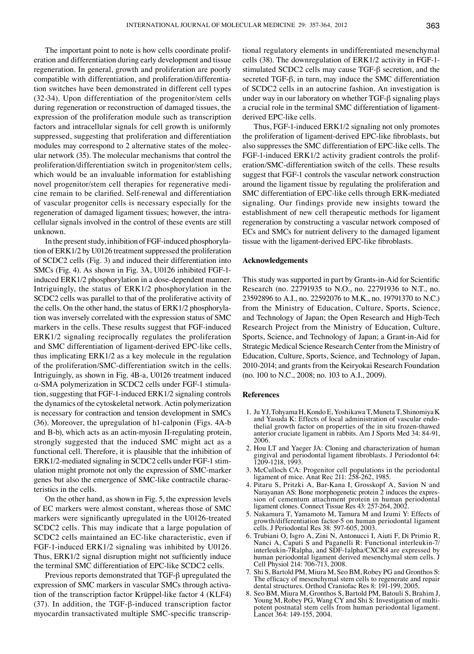The important point to note is how cells coordinate proliferation and differentiation during early development and tissue regeneration. In general, growth and proliferation are poorly compatible with differentiation, and proliferation/differentiation switches have been demonstrated in different cell types (32-34). Upon differentiation of the progenitor/stem cells during regeneration or reconstruction of damaged tissues, the expression of the proliferation module such as transcription factors and intracellular signals for cell growth is uniformly suppressed, suggesting that proliferation and differentiation modules may correspond to 2 alternative states of the molecular network (35). The molecular mechanisms that control the proliferation/differentiation switch in progenitor/stem cells, which would be an invaluable information for establishing novel progenitor/stem cell therapies for regenerative medicine remain to be clarified. Self-renewal and differentiation of vascular progenitor cells is necessary especially for the regeneration of damaged ligament tissues; however, the intracellular signals involved in the control of these events are still unknown.

In the present study, inhibition of FGF-induced phosphorylation of ERK1/2 by U0126 treatment suppressed the proliferation of SCDC2 cells (Fig. 3) and induced their differentiation into SMCs (Fig. 4). As shown in Fig. 3A, U0126 inhibited FGF-1 induced ERK1/2 phosphorylation in a dose-dependent manner. Intriguingly, the status of ERK1/2 phosphorylation in the SCDC2 cells was parallel to that of the proliferative activity of the cells. On the other hand, the status of ERK1/2 phosphorylation was inversely correlated with the expression status of SMC markers in the cells. These results suggest that FGF-induced ERK1/2 signaling reciprocally regulates the proliferation and SMC differentiation of ligament-derived EPC-like cells, thus implicating ERK1/2 as a key molecule in the regulation of the proliferation/SMC-differentiation switch in the cells. Intriguingly, as shown in Fig. 4B-a, U0126 treatment induced α-SMA polymerization in SCDC2 cells under FGF-1 stimulation, suggesting that FGF-1-induced ERK1/2 signaling controls the dynamics of the cytoskeletal network. Actin polymerization is necessary for contraction and tension development in SMCs (36). Moreover, the upregulation of h1-calponin (Figs. 4A-b and B-b), which acts as an actin-myosin II-regulating protein, strongly suggested that the induced SMC might act as a functional cell. Therefore, it is plausible that the inhibition of ERK1/2-mediated signaling in SCDC2 cells under FGF-1 stimulation might promote not only the expression of SMC-marker genes but also the emergence of SMC-like contractile characteristics in the cells.

On the other hand, as shown in Fig. 5, the expression levels of EC markers were almost constant, whereas those of SMC markers were significantly upregulated in the U0126-treated SCDC2 cells. This may indicate that a large population of SCDC2 cells maintained an EC-like characteristic, even if FGF-1-induced ERK1/2 signaling was inhibited by U0126. Thus, ERK1/2 signal disruption might not sufficiently induce the terminal SMC differentiation of EPC-like SCDC2 cells.

Previous reports demonstrated that TGF-β upregulated the expression of SMC markers in vascular SMCs through activation of the transcription factor Krüppel-like factor 4 (KLF4) (37). In addition, the TGF-β-induced transcription factor myocardin transactivated multiple SMC-specific transcriptional regulatory elements in undifferentiated mesenchymal cells (38). The downregulation of ERK1/2 activity in FGF-1 stimulated SCDC2 cells may cause TGF-β secretion, and the secreted TGF-β, in turn, may induce the SMC differentiation of SCDC2 cells in an autocrine fashion. An investigation is under way in our laboratory on whether TGF-β signaling plays a crucial role in the terminal SMC differentiation of ligamentderived EPC-like cells.

Thus, FGF-1-induced ERK1/2 signaling not only promotes the proliferation of ligament-derived EPC-like fibroblasts, but also suppresses the SMC differentiation of EPC-like cells. The FGF-1-induced ERK1/2 activity gradient controls the proliferation/SMC-differentiation switch of the cells. These results suggest that FGF-1 controls the vascular network construction around the ligament tissue by regulating the proliferation and SMC differentiation of EPC-like cells through ERK-mediated signaling. Our findings provide new insights toward the establishment of new cell therapeutic methods for ligament regeneration by constructing a vascular network composed of ECs and SMCs for nutrient delivery to the damaged ligament tissue with the ligament-derived EPC-like fibroblasts.

## **Acknowledgements**

This study was supported in part by Grants-in-Aid for Scientific Research (no. 22791935 to N.O., no. 22791936 to N.T., no. 23592896 to A.I., no. 22592076 to M.K., no. 19791370 to N.C.) from the Ministry of Education, Culture, Sports, Science, and Technology of Japan; the Open Research and High-Tech Research Project from the Ministry of Education, Culture, Sports, Science, and Technology of Japan; a Grant-in-Aid for Strategic Medical Science Research Center from the Ministry of Education, Culture, Sports, Science, and Technology of Japan, 2010-2014; and grants from the Keiryokai Research Foundation (no. 100 to N.C., 2008; no. 103 to A.I., 2009).

#### **References**

- 1. Ju YJ, Tohyama H, Kondo E, Yoshikawa T, Muneta T, Shinomiya K and Yasuda K: Effects of local administration of vascular endo- thelial growth factor on properties of the in situ frozen-thawed anterior cruciate ligament in rabbits. Am J Sports Med 34: 84-91, 2006.
- 2. Hou LT and Yaeger JA: Cloning and characterization of human gingival and periodontal ligament fibroblasts. J Periodontol 64: 1209-1218, 1993.
- 3. McCulloch CA: Progenitor cell populations in the periodontal ligament of mice. Anat Rec 211: 258-262, 1985.
- 4. Pitaru S, Pritzki A, Bar-Kana I, Grosskopf A, Savion N and sion of cementum attachment protein in human periodontal ligament clones. Connect Tissue Res 43: 257-264, 2002.
- 5. Nakamura T, Yamamoto M, Tamura M and Izumi Y: Effects of growth/differentiation factor-5 on human periodontal ligament cells. J Periodontal Res 38: 597-605, 2003.
- 6. Trubiani O, Isgro A, Zini N, Antonucci I, Aiuti F, Di Primio R, Nanci A, Caputi S and Paganelli R: Functional interleukin-7/ interleukin-7Ralpha, and SDF-1alpha/CXCR4 are expressed by human periodontal ligament derived mesenchymal stem cells. J Cell Physiol 214: 706-713, 2008.
- 7. Shi S, Bartold PM, Miura M, Seo BM, Robey PG and Gronthos S: The efficacy of mesenchymal stem cells to regenerate and repair dental structures. Orthod Craniofac Res 8: 191-199, 2005.
- 8. Seo BM, Miura M, Gronthos S, Bartold PM, Batouli S, Brahim J, potent postnatal stem cells from human periodontal ligament. Lancet 364: 149-155, 2004.